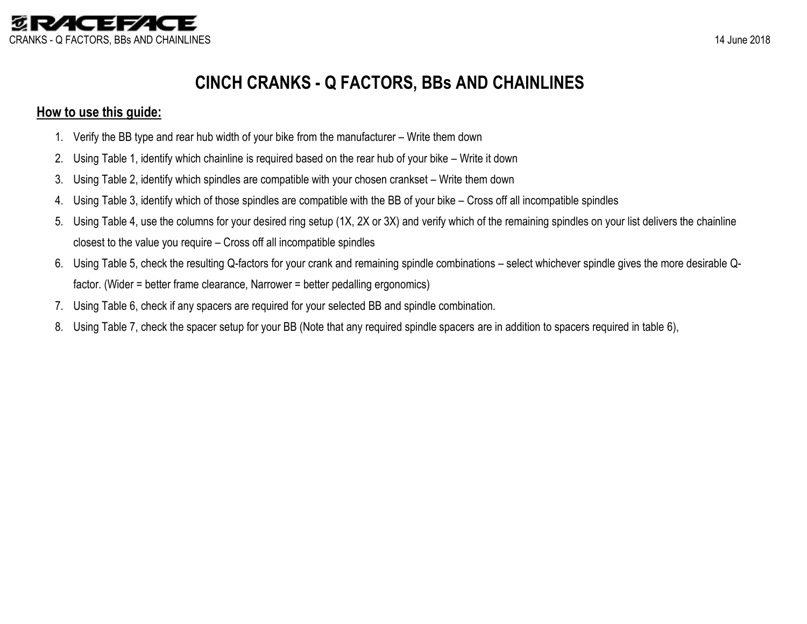

# **CINCH CRANKS - Q FACTORS, BBs AND CHAINLINES**

### **How to use this guide:**

- 1. Verify the BB type and rear hub width of your bike from the manufacturer Write them down
- 2. Using Table 1, identify which chainline is required based on the rear hub of your bike Write it down
- 3. Using Table 2, identify which spindles are compatible with your chosen crankset Write them down
- 4. Using Table 3, identify which of those spindles are compatible with the BB of your bike Cross off all incompatible spindles
- 5. Using Table 4, use the columns for your desired ring setup (1X, 2X or 3X) and verify which of the remaining spindles on your list delivers the chainline closest to the value you require – Cross off all incompatible spindles
- 6. Using Table 5, check the resulting Q-factors for your crank and remaining spindle combinations select whichever spindle gives the more desirable Qfactor. (Wider = better frame clearance, Narrower = better pedalling ergonomics)
- 7. Using Table 6, check if any spacers are required for your selected BB and spindle combination.
- 8. Using Table 7, check the spacer setup for your BB (Note that any required spindle spacers are in addition to spacers required in table 6),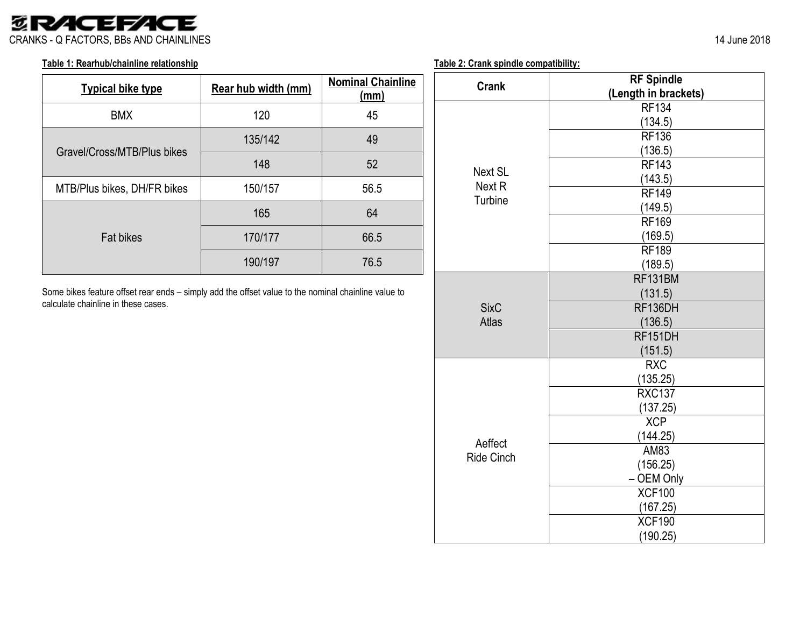## *<b>SRACEFACE* CRANKS - Q FACTORS, BBs AND CHAINLINES 14 June 2018

#### **Table 1: Rearhub/chainline relationship**

| <b>Typical bike type</b>    | Rear hub width (mm) | <b>Nominal Chainline</b><br>$\mathsf{(mm)}$ |
|-----------------------------|---------------------|---------------------------------------------|
| <b>BMX</b>                  | 120                 | 45                                          |
| Gravel/Cross/MTB/Plus bikes | 135/142             | 49                                          |
|                             | 148                 | 52                                          |
| MTB/Plus bikes, DH/FR bikes | 150/157             | 56.5                                        |
|                             | 165                 | 64                                          |
| <b>Fat bikes</b>            | 170/177             | 66.5                                        |
|                             | 190/197             | 76.5                                        |

Some bikes feature offset rear ends – simply add the offset value to the nominal chainline value to calculate chainline in these cases.

| Table 2: Crank spindle compatibility: |  |  |  |
|---------------------------------------|--|--|--|
|                                       |  |  |  |

|                   | <b>RF Spindle</b>    |  |  |  |  |  |
|-------------------|----------------------|--|--|--|--|--|
| <b>Crank</b>      | (Length in brackets) |  |  |  |  |  |
|                   | <b>RF134</b>         |  |  |  |  |  |
|                   | (134.5)              |  |  |  |  |  |
|                   | <b>RF136</b>         |  |  |  |  |  |
|                   | (136.5)              |  |  |  |  |  |
| <b>Next SL</b>    | <b>RF143</b>         |  |  |  |  |  |
| Next <sub>R</sub> | (143.5)              |  |  |  |  |  |
| Turbine           | <b>RF149</b>         |  |  |  |  |  |
|                   | (149.5)              |  |  |  |  |  |
|                   | <b>RF169</b>         |  |  |  |  |  |
|                   | (169.5)              |  |  |  |  |  |
|                   | <b>RF189</b>         |  |  |  |  |  |
|                   | (189.5)              |  |  |  |  |  |
|                   | RF131BM              |  |  |  |  |  |
|                   | (131.5)              |  |  |  |  |  |
| <b>SixC</b>       | RF136DH              |  |  |  |  |  |
| <b>Atlas</b>      | (136.5)              |  |  |  |  |  |
|                   | RF151DH              |  |  |  |  |  |
|                   | (151.5)              |  |  |  |  |  |
|                   | <b>RXC</b>           |  |  |  |  |  |
|                   | (135.25)             |  |  |  |  |  |
|                   | <b>RXC137</b>        |  |  |  |  |  |
|                   | (137.25)             |  |  |  |  |  |
|                   | <b>XCP</b>           |  |  |  |  |  |
| Aeffect           | (144.25)             |  |  |  |  |  |
| <b>Ride Cinch</b> | AM83                 |  |  |  |  |  |
|                   | (156.25)             |  |  |  |  |  |
|                   | - OEM Only           |  |  |  |  |  |
|                   | <b>XCF100</b>        |  |  |  |  |  |
|                   | (167.25)             |  |  |  |  |  |
|                   | <b>XCF190</b>        |  |  |  |  |  |
|                   | (190.25)             |  |  |  |  |  |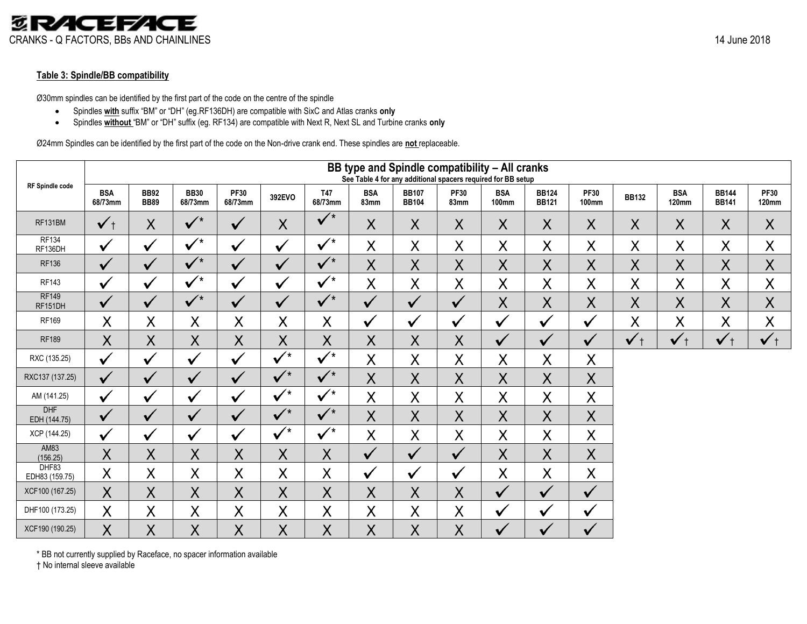#### **Table 3: Spindle/BB compatibility**

Ø30mm spindles can be identified by the first part of the code on the centre of the spindle

- Spindles **with** suffix "BM" or "DH" (eg.RF136DH) are compatible with SixC and Atlas cranks **only**
- Spindles **without** "BM" or "DH" suffix (eg. RF134) are compatible with Next R, Next SL and Turbine cranks **only**

Ø24mm Spindles can be identified by the first part of the code on the Non-drive crank end. These spindles are **not** replaceable.

|                            |                       | BB type and Spindle compatibility - All cranks<br>See Table 4 for any additional spacers required for BB setup |                        |                        |                      |                       |                    |                              |                     |                            |                              |                             |                     |                            |                              |                             |
|----------------------------|-----------------------|----------------------------------------------------------------------------------------------------------------|------------------------|------------------------|----------------------|-----------------------|--------------------|------------------------------|---------------------|----------------------------|------------------------------|-----------------------------|---------------------|----------------------------|------------------------------|-----------------------------|
| <b>RF Spindle code</b>     | <b>BSA</b><br>68/73mm | <b>BB92</b><br><b>BB89</b>                                                                                     | <b>BB30</b><br>68/73mm | <b>PF30</b><br>68/73mm | 392EVO               | <b>T47</b><br>68/73mm | <b>BSA</b><br>83mm | <b>BB107</b><br><b>BB104</b> | <b>PF30</b><br>83mm | <b>BSA</b><br><b>100mm</b> | <b>BB124</b><br><b>BB121</b> | <b>PF30</b><br><b>100mm</b> | <b>BB132</b>        | <b>BSA</b><br><b>120mm</b> | <b>BB144</b><br><b>BB141</b> | <b>PF30</b><br><b>120mm</b> |
| RF131BM                    | $\checkmark$ +        | X                                                                                                              | $\sqrt{\frac{1}{1}}$   | $\sqrt{}$              | X                    | $\sqrt{ }$            | X                  | X                            | X                   | X                          | X                            | X                           | X                   | X                          | X                            | X                           |
| <b>RF134</b><br>RF136DH    | $\checkmark$          | ✔                                                                                                              | $\checkmark$           | ✔                      | ✔                    | $\checkmark$          | $\sf X$            | X                            | X                   | X                          | $\sf X$                      | X                           | X                   | X                          | X                            | X                           |
| <b>RF136</b>               | $\checkmark$          | V                                                                                                              | $\sqrt{ }$             | $\checkmark$           | ✔                    | $\sqrt{ }$            | $\sf X$            | $\sf X$                      | $\sf X$             | X                          | $\sf X$                      | $\sf X$                     | X                   | $\sf X$                    | X                            | $\sf X$                     |
| <b>RF143</b>               | ✓                     | V                                                                                                              | $\sqrt{ }$             | $\checkmark$           | $\checkmark$         | $\sqrt{\overline{X}}$ | $\sf X$            | X                            | X                   | X                          | X                            | X                           | X                   | X                          | X                            | X                           |
| <b>RF149</b><br>RF151DH    | $\sqrt{}$             | $\checkmark$                                                                                                   | $\sqrt{\frac{1}{10}}$  | $\sqrt{}$              | $\checkmark$         | $\sqrt{ }$            | $\checkmark$       | $\sqrt{}$                    | $\checkmark$        | X                          | X                            | $\sf X$                     | $\sf X$             | $\sf X$                    | $\sf X$                      | $\sf X$                     |
| <b>RF169</b>               | X                     | X                                                                                                              | X                      | X                      | X                    | X                     | ✓                  | $\checkmark$                 | V                   | ✓                          | V                            | ✓                           | $\sf X$             | X                          | X                            | X                           |
| <b>RF189</b>               | $\sf X$               | $\sf X$                                                                                                        | $\sf X$                | $\sf X$                | $\sf X$              | $\sf X$               | $\sf X$            | $\sf X$                      | Χ                   | $\checkmark$               | ✔                            | $\checkmark$                | $\checkmark$<br>$+$ | $\checkmark$ +             | $\checkmark$                 | $\checkmark$                |
| RXC (135.25)               | ✓                     | ✓                                                                                                              | $\checkmark$           | $\checkmark$           | $\checkmark$         | $\sqrt{\frac{1}{2}}$  | $\sf X$            | X                            | X                   | X                          | $\sf X$                      | X                           |                     |                            |                              |                             |
| RXC137 (137.25)            | $\checkmark$          | $\checkmark$                                                                                                   | $\checkmark$           | $\checkmark$           | $\sqrt{\frac{1}{2}}$ | $\sqrt{\frac{1}{10}}$ | $\sf X$            | $\sf X$                      | $\sf X$             | X                          | $\sf X$                      | $\sf X$                     |                     |                            |                              |                             |
| AM (141.25)                | ✔                     | V                                                                                                              | ✔                      | V                      | $\checkmark$         | $\checkmark$          | X                  | X                            | X                   | X                          | $\sf X$                      | X                           |                     |                            |                              |                             |
| <b>DHF</b><br>EDH (144.75) | $\checkmark$          | $\checkmark$                                                                                                   | ✓                      | $\checkmark$           | $\sqrt{ }$           | $\sqrt{\frac{1}{1}}$  | $\sf X$            | $\sf X$                      | $\sf X$             | X                          | X                            | $\sf X$                     |                     |                            |                              |                             |
| XCP (144.25)               | ✓                     | ✔                                                                                                              | $\checkmark$           | $\checkmark$           | $\checkmark$         | $\checkmark$          | $\sf X$            | X                            | $\sf X$             | X                          | $\sf X$                      | $\sf X$                     |                     |                            |                              |                             |
| AM83<br>(156.25)           | $\sf X$               | $\sf X$                                                                                                        | $\sf X$                | $\sf X$                | $\sf X$              | $\sf X$               | $\checkmark$       | $\checkmark$                 | $\checkmark$        | $\sf X$                    | $\sf X$                      | $\sf X$                     |                     |                            |                              |                             |
| DHF83<br>EDH83 (159.75)    | X                     | $\sf X$                                                                                                        | $\sf X$                | X                      | X                    | $\sf X$               | ✔                  | $\checkmark$                 | ✔                   | X                          | $\sf X$                      | X                           |                     |                            |                              |                             |
| XCF100 (167.25)            | $\sf X$               | $\sf X$                                                                                                        | $\sf X$                | $\sf X$                | $\sf X$              | $\sf X$               | $\sf X$            | X                            | X                   | $\checkmark$               | $\checkmark$                 | $\checkmark$                |                     |                            |                              |                             |
| DHF100 (173.25)            | $\sf X$               | $\sf X$                                                                                                        | $\sf X$                | $\sf X$                | $\sf X$              | Χ                     | $\sf X$            | X                            | X                   | ✓                          | $\checkmark$                 | ✓                           |                     |                            |                              |                             |
| XCF190 (190.25)            | X                     | X                                                                                                              | X                      | $\sf X$                | $\sf X$              | Χ                     | X                  | $\sf X$                      | $\sf X$             |                            | ✔                            | $\checkmark$                |                     |                            |                              |                             |

† No internal sleeve available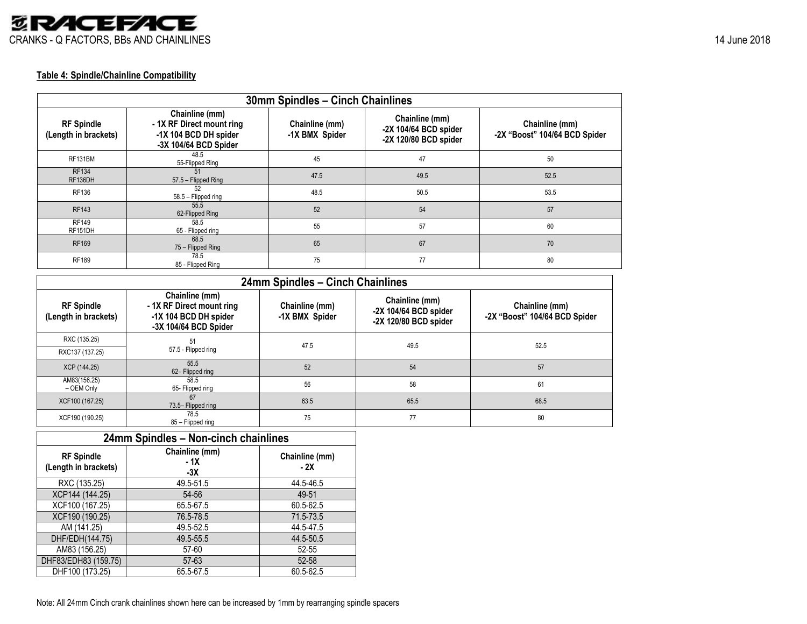

#### **Table 4: Spindle/Chainline Compatibility**

| 30mm Spindles - Cinch Chainlines          |                                                                                              |                                  |                                                                  |                                                 |  |  |
|-------------------------------------------|----------------------------------------------------------------------------------------------|----------------------------------|------------------------------------------------------------------|-------------------------------------------------|--|--|
| <b>RF Spindle</b><br>(Length in brackets) | Chainline (mm)<br>-1X RF Direct mount ring<br>-1X 104 BCD DH spider<br>-3X 104/64 BCD Spider | Chainline (mm)<br>-1X BMX Spider | Chainline (mm)<br>-2X 104/64 BCD spider<br>-2X 120/80 BCD spider | Chainline (mm)<br>-2X "Boost" 104/64 BCD Spider |  |  |
| RF131BM                                   | 48.5<br>55-Flipped Ring                                                                      | 45                               | 47                                                               | 50                                              |  |  |
| <b>RF134</b><br>RF136DH                   | 51<br>57.5 - Flipped Ring                                                                    | 47.5                             | 49.5                                                             | 52.5                                            |  |  |
| RF136                                     | 52<br>58.5 - Flipped ring                                                                    | 48.5                             | 50.5                                                             | 53.5                                            |  |  |
| <b>RF143</b>                              | 55.5<br>62-Flipped Ring                                                                      | 52                               | 54                                                               | 57                                              |  |  |
| <b>RF149</b><br>RF151DH                   | 58.5<br>65 - Flipped ring                                                                    | 55                               | 57                                                               | 60                                              |  |  |
| RF169                                     | 68.5<br>75 – Flipped Ring                                                                    | 65                               | 67                                                               | 70                                              |  |  |
| <b>RF189</b>                              | 78.5<br>85 - Flipped Ring                                                                    | 75                               | 77                                                               | 80                                              |  |  |

| 24mm Spindles - Cinch Chainlines          |                                                                                               |                                  |                                                                    |                                                 |  |  |
|-------------------------------------------|-----------------------------------------------------------------------------------------------|----------------------------------|--------------------------------------------------------------------|-------------------------------------------------|--|--|
| <b>RF Spindle</b><br>(Length in brackets) | Chainline (mm)<br>- 1X RF Direct mount ring<br>-1X 104 BCD DH spider<br>-3X 104/64 BCD Spider | Chainline (mm)<br>-1X BMX Spider | Chainline (mm)<br>-2X 104/64 BCD spider<br>$-2X$ 120/80 BCD spider | Chainline (mm)<br>-2X "Boost" 104/64 BCD Spider |  |  |
| RXC (135.25)                              | 51                                                                                            | 47.5                             | 49.5                                                               | 52.5                                            |  |  |
| RXC137 (137.25)                           | 57.5 - Flipped ring                                                                           |                                  |                                                                    |                                                 |  |  |
| XCP (144.25)                              | 55.5<br>62-Flipped ring                                                                       | 52                               | 54                                                                 | 57                                              |  |  |
| AM83(156.25)<br>- OEM Only                | 58.5<br>65- Flipped ring                                                                      | 56                               | 58                                                                 | 61                                              |  |  |
| XCF100 (167.25)                           | 67<br>73.5- Flipped ring                                                                      | 63.5                             | 65.5                                                               | 68.5                                            |  |  |
| XCF190 (190.25)                           | 78.5<br>85 - Flipped ring                                                                     | 75                               | 77                                                                 | 80                                              |  |  |

#### **24mm Spindles – Non-cinch chainlines RF Spindle (Length in brackets) Chainline (mm) - 1X**  $\frac{-3X}{49.5-51.5}$ **Chainline (mm) - 2X** RXC (135.25) 49.5-51.5 44.5-46.5<br>CCP144 (144.25) 54-56 49-51 XCP144 (144.25) 54-56 49-51<br>XCF100 (167.25) 65.5-67.5 60.5-62.5 XCF100 (167.25) 65.5-67.5 60.5-62.5<br>XCF190 (190.25) 76.5-78.5 71.5-73.5 XCF190 (190.25) 76.5-78.5 71.5-73.5<br>AM (141.25) 49.5-52.5 44.5-47.5 AM (141.25) 49.5-52.5 44.5-47.5<br>HF/EDH(144.75) 49.5-55.5 44.5-50.5 DHF/EDH(144.75) 49.5-55.5 44.5-50.<br>AM83 (156.25) 57-60 52-55 AM83 (156.25) 57-60 52-55<br>
F83/EDH83 (159.75) 57-63 52-58 0HF83/EDH83 (159.75) 57-63 52-58<br>DHF100 (173.25) 65.5-67.5 60.5-62.5 DHF100 (173.25)

Note: All 24mm Cinch crank chainlines shown here can be increased by 1mm by rearranging spindle spacers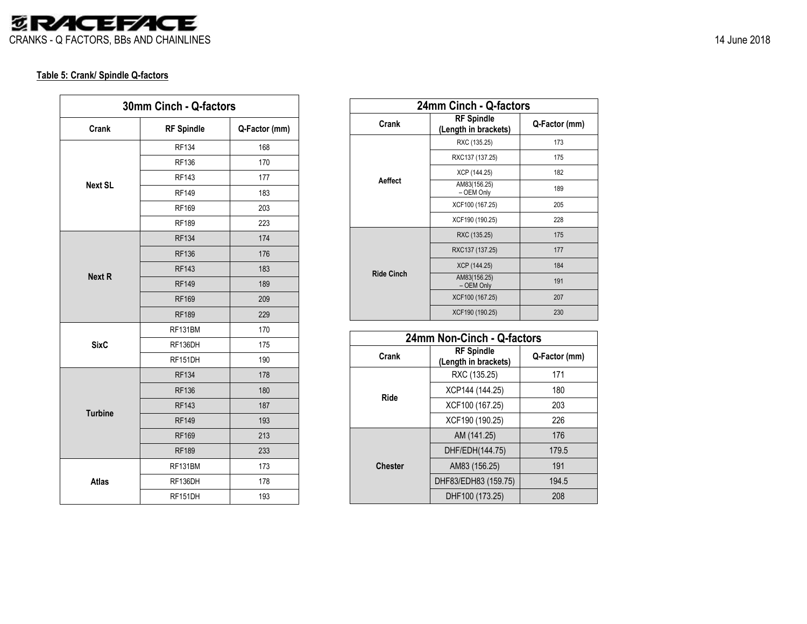

#### **Table 5: Crank/ Spindle Q-factors**

| 30mm Cinch - Q-factors |                   |               |  |  |  |
|------------------------|-------------------|---------------|--|--|--|
| Crank                  | <b>RF Spindle</b> | Q-Factor (mm) |  |  |  |
|                        | <b>RF134</b>      | 168           |  |  |  |
| <b>Next SL</b>         | <b>RF136</b>      | 170           |  |  |  |
|                        | <b>RF143</b>      | 177           |  |  |  |
|                        | <b>RF149</b>      | 183           |  |  |  |
|                        | <b>RF169</b>      | 203           |  |  |  |
|                        | <b>RF189</b>      | 223           |  |  |  |
| <b>Next R</b>          | <b>RF134</b>      | 174           |  |  |  |
|                        | <b>RF136</b>      | 176           |  |  |  |
|                        | <b>RF143</b>      | 183           |  |  |  |
|                        | <b>RF149</b>      | 189           |  |  |  |
|                        | <b>RF169</b>      | 209           |  |  |  |
|                        | <b>RF189</b>      | 229           |  |  |  |
| <b>SixC</b>            | RF131BM           | 170           |  |  |  |
|                        | RF136DH           | 175           |  |  |  |
|                        | RF151DH           | 190           |  |  |  |
|                        | <b>RF134</b>      | 178           |  |  |  |
|                        | <b>RF136</b>      | 180           |  |  |  |
| <b>Turbine</b>         | <b>RF143</b>      | 187           |  |  |  |
|                        | <b>RF149</b>      | 193           |  |  |  |
|                        | <b>RF169</b>      | 213           |  |  |  |
|                        | <b>RF189</b>      | 233           |  |  |  |
|                        | RF131BM           | 173           |  |  |  |
| <b>Atlas</b>           | RF136DH           | 178           |  |  |  |
|                        | RF151DH           | 193           |  |  |  |

| 24mm Cinch - Q-factors |                                           |               |  |  |  |  |
|------------------------|-------------------------------------------|---------------|--|--|--|--|
| Crank                  | <b>RF Spindle</b><br>(Length in brackets) | Q-Factor (mm) |  |  |  |  |
|                        | RXC (135.25)                              | 173           |  |  |  |  |
|                        | RXC137 (137.25)                           | 175           |  |  |  |  |
|                        | XCP (144.25)                              | 182           |  |  |  |  |
| <b>Aeffect</b>         | AM83(156.25)<br>- OEM Only                | 189           |  |  |  |  |
|                        | XCF100 (167.25)                           | 205           |  |  |  |  |
|                        | XCF190 (190.25)                           | 228           |  |  |  |  |
|                        | RXC (135.25)                              | 175           |  |  |  |  |
|                        | RXC137 (137.25)                           | 177           |  |  |  |  |
|                        | XCP (144.25)                              | 184           |  |  |  |  |
| <b>Ride Cinch</b>      | AM83(156.25)<br>- OEM Only                | 191           |  |  |  |  |
|                        | XCF100 (167.25)                           | 207           |  |  |  |  |
|                        | XCF190 (190.25)                           | 230           |  |  |  |  |

| 24mm Non-Cinch - Q-factors |                                           |               |  |  |  |  |
|----------------------------|-------------------------------------------|---------------|--|--|--|--|
| Crank                      | <b>RF Spindle</b><br>(Length in brackets) | Q-Factor (mm) |  |  |  |  |
|                            | RXC (135.25)                              | 171           |  |  |  |  |
| Ride                       | XCP144 (144.25)                           | 180           |  |  |  |  |
|                            | XCF100 (167.25)                           | 203           |  |  |  |  |
|                            | XCF190 (190.25)                           | 226           |  |  |  |  |
|                            | AM (141.25)                               | 176           |  |  |  |  |
|                            | DHF/EDH(144.75)                           | 179.5         |  |  |  |  |
| <b>Chester</b>             | AM83 (156.25)                             | 191           |  |  |  |  |
|                            | DHF83/EDH83 (159.75)                      | 194.5         |  |  |  |  |
|                            | DHF100 (173.25)                           | 208           |  |  |  |  |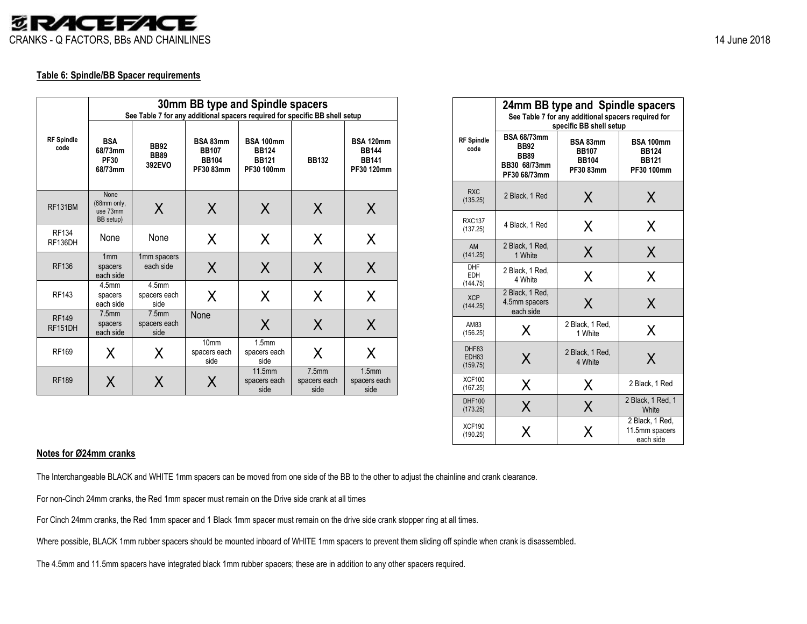

#### **Table 6: Spindle/BB Spacer requirements**

|                           |                                                 | 30mm BB type and Spindle spacers<br>See Table 7 for any additional spacers required for specific BB shell setup |                                                       |                                                                |                                           |                                                                |  |  |
|---------------------------|-------------------------------------------------|-----------------------------------------------------------------------------------------------------------------|-------------------------------------------------------|----------------------------------------------------------------|-------------------------------------------|----------------------------------------------------------------|--|--|
| <b>RF</b> Spindle<br>code | <b>BSA</b><br>68/73mm<br><b>PF30</b><br>68/73mm | <b>BB92</b><br><b>BB89</b><br>392EVO                                                                            | BSA 83mm<br><b>BB107</b><br><b>BB104</b><br>PF30 83mm | <b>BSA 100mm</b><br><b>BB124</b><br><b>BB121</b><br>PF30 100mm | <b>BB132</b>                              | <b>BSA 120mm</b><br><b>BB144</b><br><b>BB141</b><br>PF30 120mm |  |  |
| RF131BM                   | None<br>(68mm only,<br>use 73mm<br>BB setup)    | X                                                                                                               | X                                                     | X                                                              | X                                         | X                                                              |  |  |
| <b>RF134</b><br>RF136DH   | None                                            | None                                                                                                            | X                                                     | X                                                              | X                                         | X                                                              |  |  |
| <b>RF136</b>              | 1mm<br>spacers<br>each side                     | 1mm spacers<br>each side                                                                                        | X                                                     | X                                                              | X                                         | X                                                              |  |  |
| <b>RF143</b>              | 4.5 <sub>mm</sub><br>spacers<br>each side       | 4.5mm<br>spacers each<br>side                                                                                   | X                                                     | X                                                              | X                                         | X                                                              |  |  |
| <b>RF149</b><br>RF151DH   | 7.5mm<br>spacers<br>each side                   | 7.5 <sub>mm</sub><br>spacers each<br>side                                                                       | None                                                  | X                                                              | X                                         | X                                                              |  |  |
| <b>RF169</b>              | X                                               | Χ                                                                                                               | 10 <sub>mm</sub><br>spacers each<br>side              | 1.5 <sub>mm</sub><br>spacers each<br>side                      | X                                         | X                                                              |  |  |
| <b>RF189</b>              | X                                               | X                                                                                                               | Χ                                                     | 11.5mm<br>spacers each<br>side                                 | 7.5 <sub>mm</sub><br>spacers each<br>side | 1.5 <sub>mm</sub><br>spacers each<br>side                      |  |  |

|                                      | 24mm BB type and Spindle spacers<br>See Table 7 for any additional spacers required for<br>specific BB shell setup |                                                       |                                                                |  |  |  |  |
|--------------------------------------|--------------------------------------------------------------------------------------------------------------------|-------------------------------------------------------|----------------------------------------------------------------|--|--|--|--|
| <b>RF Spindle</b><br>code            | <b>BSA 68/73mm</b><br><b>BB92</b><br><b>BB89</b><br>BB30 68/73mm<br>PF30 68/73mm                                   | BSA 83mm<br><b>BB107</b><br><b>BB104</b><br>PF30 83mm | <b>BSA 100mm</b><br><b>BB124</b><br><b>BB121</b><br>PF30 100mm |  |  |  |  |
| <b>RXC</b><br>(135.25)               | 2 Black, 1 Red                                                                                                     | X                                                     | X                                                              |  |  |  |  |
| <b>RXC137</b><br>(137.25)            | 4 Black, 1 Red                                                                                                     | X                                                     | X                                                              |  |  |  |  |
| AM<br>(141.25)                       | 2 Black, 1 Red,<br>1 White                                                                                         | X                                                     | X                                                              |  |  |  |  |
| <b>DHF</b><br><b>EDH</b><br>(144.75) | 2 Black, 1 Red,<br>4 White                                                                                         | Χ                                                     | Χ                                                              |  |  |  |  |
| <b>XCP</b><br>(144.25)               | 2 Black, 1 Red,<br>4.5mm spacers<br>each side                                                                      | X                                                     | Χ                                                              |  |  |  |  |
| AM83<br>(156.25)                     | X                                                                                                                  | 2 Black, 1 Red,<br>1 White                            | Χ                                                              |  |  |  |  |
| DHF83<br>EDH83<br>(159.75)           | Χ                                                                                                                  | 2 Black, 1 Red,<br>4 White                            | X                                                              |  |  |  |  |
| <b>XCF100</b><br>(167.25)            | Χ                                                                                                                  | X                                                     | 2 Black, 1 Red                                                 |  |  |  |  |
| DHF100<br>(173.25)                   | Χ                                                                                                                  | Χ                                                     | 2 Black, 1 Red, 1<br>White                                     |  |  |  |  |
| <b>XCF190</b><br>(190.25)            | x                                                                                                                  | X                                                     | 2 Black, 1 Red.<br>11.5mm spacers<br>each side                 |  |  |  |  |

#### **Notes for Ø24mm cranks**

The Interchangeable BLACK and WHITE 1mm spacers can be moved from one side of the BB to the other to adjust the chainline and crank clearance.

For non-Cinch 24mm cranks, the Red 1mm spacer must remain on the Drive side crank at all times

For Cinch 24mm cranks, the Red 1mm spacer and 1 Black 1mm spacer must remain on the drive side crank stopper ring at all times.

Where possible, BLACK 1mm rubber spacers should be mounted inboard of WHITE 1mm spacers to prevent them sliding off spindle when crank is disassembled.

The 4.5mm and 11.5mm spacers have integrated black 1mm rubber spacers; these are in addition to any other spacers required.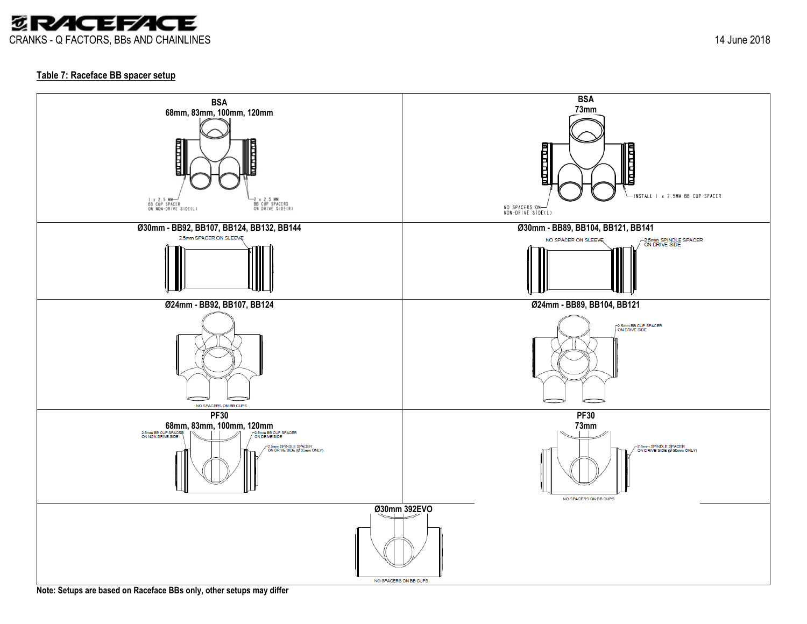

#### **Table 7: Raceface BB spacer setup**



**Note: Setups are based on Raceface BBs only, other setups may differ**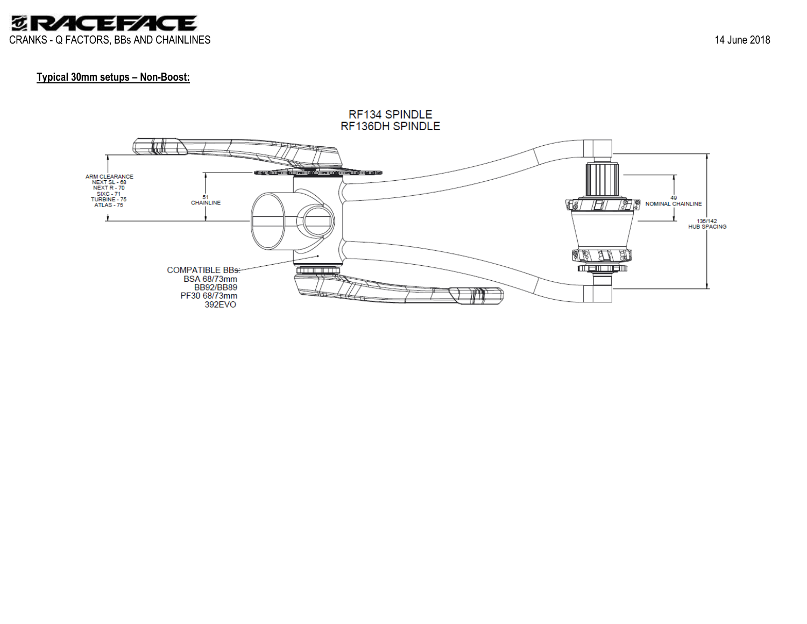

#### **Typical 30mm setups – Non -Boost:**

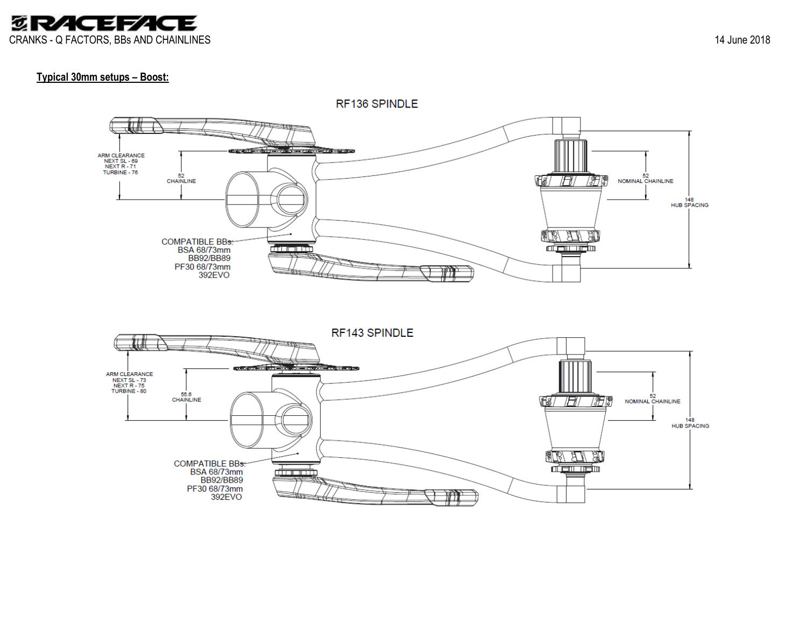

#### **Typical 30mm setups – Boost:**